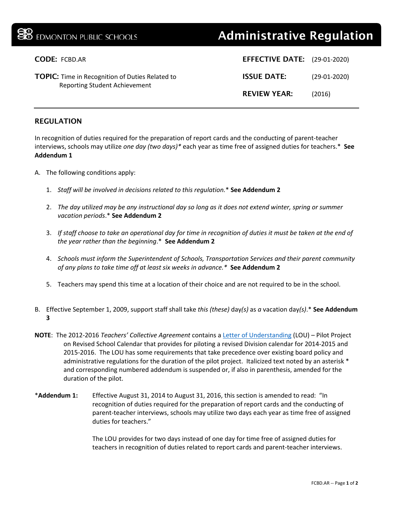| <b>BB</b> EDMONTON PUBLIC SCHOOLS                                                              | <b>Administrative Regulation</b>    |                |
|------------------------------------------------------------------------------------------------|-------------------------------------|----------------|
| <b>CODE: FCBD.AR</b>                                                                           | <b>EFFECTIVE DATE:</b> (29-01-2020) |                |
| <b>TOPIC:</b> Time in Recognition of Duties Related to<br><b>Reporting Student Achievement</b> | <b>ISSUE DATE:</b>                  | $(29-01-2020)$ |
|                                                                                                | <b>REVIEW YEAR:</b>                 | (2016)         |
|                                                                                                |                                     |                |

## REGULATION

In recognition of duties required for the preparation of report cards and the conducting of parent-teacher interviews, schools may utilize *one day (two days)\** each year as time free of assigned duties for teachers.\* **See Addendum 1**

- A. The following conditions apply:
	- 1. *Staff will be involved in decisions related to this regulation.*\* **See Addendum 2**
	- 2. *The day utilized may be any instructional day so long as it does not extend winter, spring or summer vacation periods*.\* **See Addendum 2**
	- 3. *If staff choose to take an operational day for time in recognition of duties it must be taken at the end of the year rather than the beginning*.\* **See Addendum 2**
	- 4. *Schools must inform the Superintendent of Schools, Transportation Services and their parent community of any plans to take time off at least six weeks in advance.\** **See Addendum 2**
	- 5. Teachers may spend this time at a location of their choice and are not required to be in the school.
- B. Effective September 1, 2009, support staff shall take *this (these)* day*(s)* as *a* vacation day*(s)*.\* **See Addendum 3**
- **NOTE**: The 2012-2016 *Teachers' Collective Agreement* contains a [Letter of Understanding](http://epsb.ca/media/epsb/ourdistrict/boardoftrustees/boardmeetings/2013-14/march18/04-SchoolYearCalendar2014-2015and2015-2016.pdf) (LOU) Pilot Project on Revised School Calendar that provides for piloting a revised Division calendar for 2014-2015 and 2015-2016. The LOU has some requirements that take precedence over existing board policy and administrative regulations for the duration of the pilot project. Italicized text noted by an asterisk \* and corresponding numbered addendum is suspended or, if also in parenthesis, amended for the duration of the pilot.
- \***Addendum 1:** Effective August 31, 2014 to August 31, 2016, this section is amended to read: "In recognition of duties required for the preparation of report cards and the conducting of parent-teacher interviews, schools may utilize two days each year as time free of assigned duties for teachers."

The LOU provides for two days instead of one day for time free of assigned duties for teachers in recognition of duties related to report cards and parent-teacher interviews.